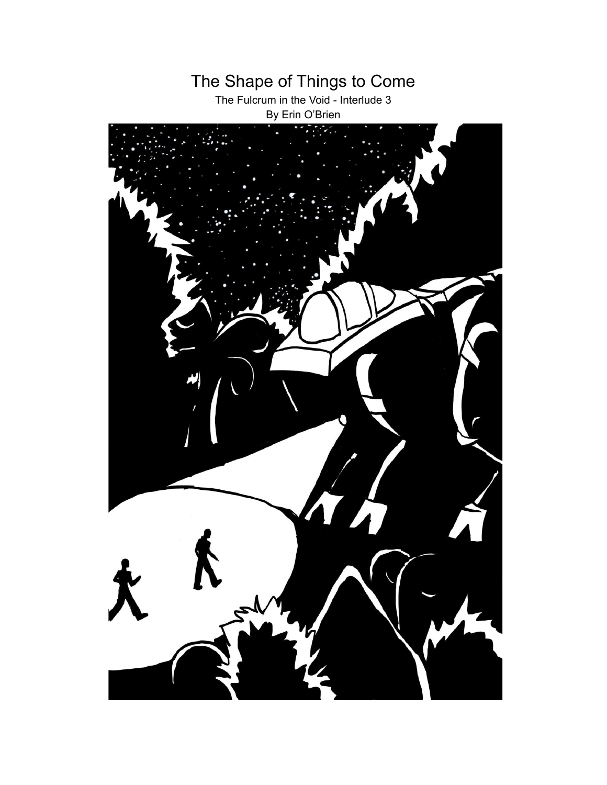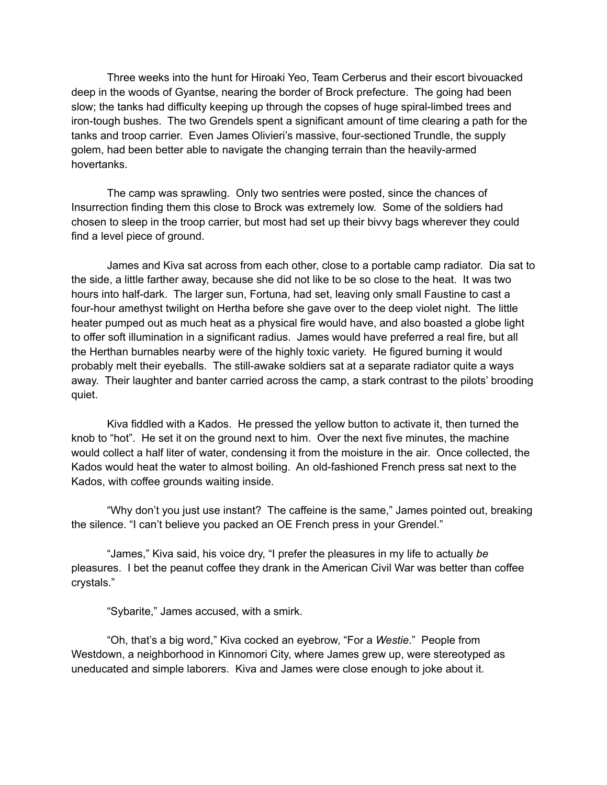Three weeks into the hunt for Hiroaki Yeo, Team Cerberus and their escort bivouacked deep in the woods of Gyantse, nearing the border of Brock prefecture. The going had been slow; the tanks had difficulty keeping up through the copses of huge spiral-limbed trees and iron-tough bushes. The two Grendels spent a significant amount of time clearing a path for the tanks and troop carrier. Even James Olivieri's massive, four-sectioned Trundle, the supply golem, had been better able to navigate the changing terrain than the heavily-armed hovertanks.

The camp was sprawling. Only two sentries were posted, since the chances of Insurrection finding them this close to Brock was extremely low. Some of the soldiers had chosen to sleep in the troop carrier, but most had set up their bivvy bags wherever they could find a level piece of ground.

James and Kiva sat across from each other, close to a portable camp radiator. Dia sat to the side, a little farther away, because she did not like to be so close to the heat. It was two hours into half-dark. The larger sun, Fortuna, had set, leaving only small Faustine to cast a four-hour amethyst twilight on Hertha before she gave over to the deep violet night. The little heater pumped out as much heat as a physical fire would have, and also boasted a globe light to offer soft illumination in a significant radius. James would have preferred a real fire, but all the Herthan burnables nearby were of the highly toxic variety. He figured burning it would probably melt their eyeballs. The still-awake soldiers sat at a separate radiator quite a ways away. Their laughter and banter carried across the camp, a stark contrast to the pilots' brooding quiet.

Kiva fiddled with a Kados. He pressed the yellow button to activate it, then turned the knob to "hot". He set it on the ground next to him. Over the next five minutes, the machine would collect a half liter of water, condensing it from the moisture in the air. Once collected, the Kados would heat the water to almost boiling. An old-fashioned French press sat next to the Kados, with coffee grounds waiting inside.

"Why don't you just use instant? The caffeine is the same," James pointed out, breaking the silence. "I can't believe you packed an OE French press in your Grendel."

"James," Kiva said, his voice dry, "I prefer the pleasures in my life to actually *be* pleasures. I bet the peanut coffee they drank in the American Civil War was better than coffee crystals."

"Sybarite," James accused, with a smirk.

"Oh, that's a big word," Kiva cocked an eyebrow, "For a *Westie*." People from Westdown, a neighborhood in Kinnomori City, where James grew up, were stereotyped as uneducated and simple laborers. Kiva and James were close enough to joke about it.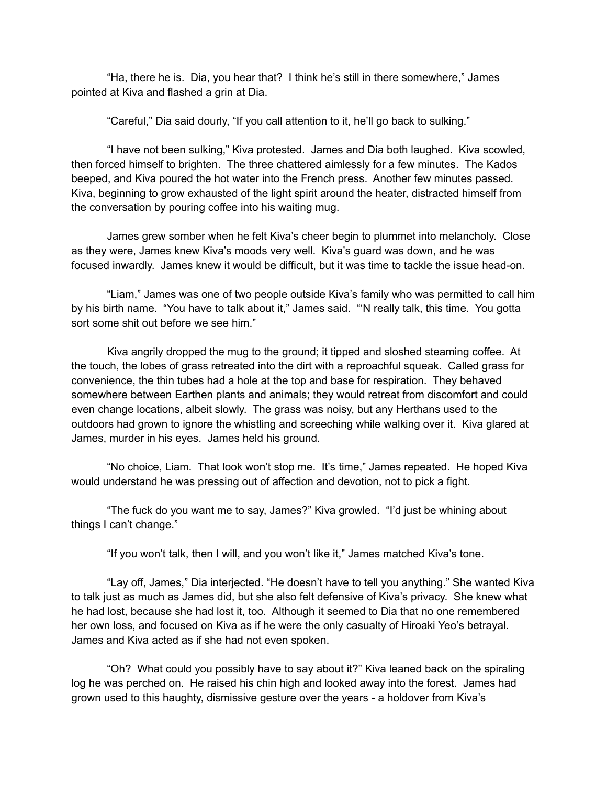"Ha, there he is. Dia, you hear that? I think he's still in there somewhere," James pointed at Kiva and flashed a grin at Dia.

"Careful," Dia said dourly, "If you call attention to it, he'll go back to sulking."

"I have not been sulking," Kiva protested. James and Dia both laughed. Kiva scowled, then forced himself to brighten. The three chattered aimlessly for a few minutes. The Kados beeped, and Kiva poured the hot water into the French press. Another few minutes passed. Kiva, beginning to grow exhausted of the light spirit around the heater, distracted himself from the conversation by pouring coffee into his waiting mug.

James grew somber when he felt Kiva's cheer begin to plummet into melancholy. Close as they were, James knew Kiva's moods very well. Kiva's guard was down, and he was focused inwardly. James knew it would be difficult, but it was time to tackle the issue head-on.

"Liam," James was one of two people outside Kiva's family who was permitted to call him by his birth name. "You have to talk about it," James said. "'N really talk, this time. You gotta sort some shit out before we see him."

Kiva angrily dropped the mug to the ground; it tipped and sloshed steaming coffee. At the touch, the lobes of grass retreated into the dirt with a reproachful squeak. Called grass for convenience, the thin tubes had a hole at the top and base for respiration. They behaved somewhere between Earthen plants and animals; they would retreat from discomfort and could even change locations, albeit slowly. The grass was noisy, but any Herthans used to the outdoors had grown to ignore the whistling and screeching while walking over it. Kiva glared at James, murder in his eyes. James held his ground.

"No choice, Liam. That look won't stop me. It's time," James repeated. He hoped Kiva would understand he was pressing out of affection and devotion, not to pick a fight.

"The fuck do you want me to say, James?" Kiva growled. "I'd just be whining about things I can't change."

"If you won't talk, then I will, and you won't like it," James matched Kiva's tone.

"Lay off, James," Dia interjected. "He doesn't have to tell you anything." She wanted Kiva to talk just as much as James did, but she also felt defensive of Kiva's privacy. She knew what he had lost, because she had lost it, too. Although it seemed to Dia that no one remembered her own loss, and focused on Kiva as if he were the only casualty of Hiroaki Yeo's betrayal. James and Kiva acted as if she had not even spoken.

"Oh? What could you possibly have to say about it?" Kiva leaned back on the spiraling log he was perched on. He raised his chin high and looked away into the forest. James had grown used to this haughty, dismissive gesture over the years - a holdover from Kiva's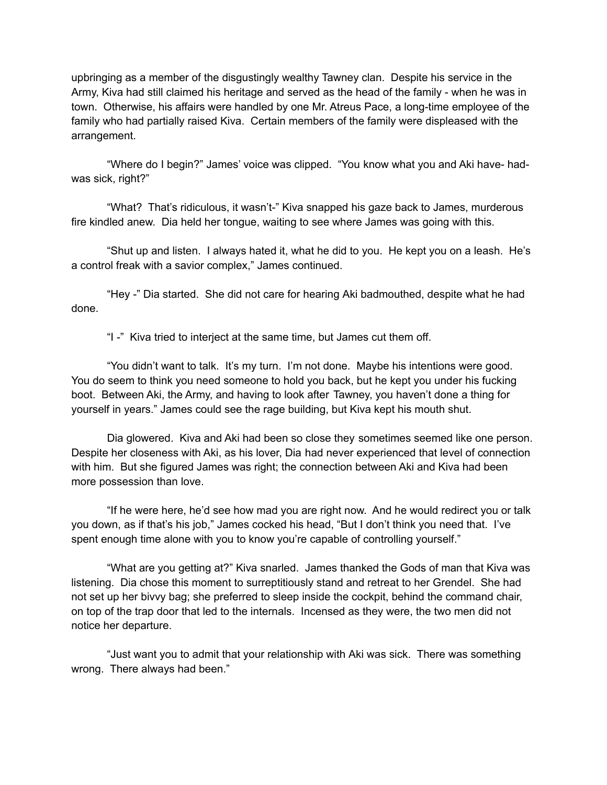upbringing as a member of the disgustingly wealthy Tawney clan. Despite his service in the Army, Kiva had still claimed his heritage and served as the head of the family - when he was in town. Otherwise, his affairs were handled by one Mr. Atreus Pace, a long-time employee of the family who had partially raised Kiva. Certain members of the family were displeased with the arrangement.

"Where do I begin?" James' voice was clipped. "You know what you and Aki have- hadwas sick, right?"

"What? That's ridiculous, it wasn't-" Kiva snapped his gaze back to James, murderous fire kindled anew. Dia held her tongue, waiting to see where James was going with this.

"Shut up and listen. I always hated it, what he did to you. He kept you on a leash. He's a control freak with a savior complex," James continued.

"Hey -" Dia started. She did not care for hearing Aki badmouthed, despite what he had done.

"I -" Kiva tried to interject at the same time, but James cut them off.

"You didn't want to talk. It's my turn. I'm not done. Maybe his intentions were good. You do seem to think you need someone to hold you back, but he kept you under his fucking boot. Between Aki, the Army, and having to look after Tawney, you haven't done a thing for yourself in years." James could see the rage building, but Kiva kept his mouth shut.

Dia glowered. Kiva and Aki had been so close they sometimes seemed like one person. Despite her closeness with Aki, as his lover, Dia had never experienced that level of connection with him. But she figured James was right; the connection between Aki and Kiva had been more possession than love.

"If he were here, he'd see how mad you are right now. And he would redirect you or talk you down, as if that's his job," James cocked his head, "But I don't think you need that. I've spent enough time alone with you to know you're capable of controlling yourself."

"What are you getting at?" Kiva snarled. James thanked the Gods of man that Kiva was listening. Dia chose this moment to surreptitiously stand and retreat to her Grendel. She had not set up her bivvy bag; she preferred to sleep inside the cockpit, behind the command chair, on top of the trap door that led to the internals. Incensed as they were, the two men did not notice her departure.

"Just want you to admit that your relationship with Aki was sick. There was something wrong. There always had been."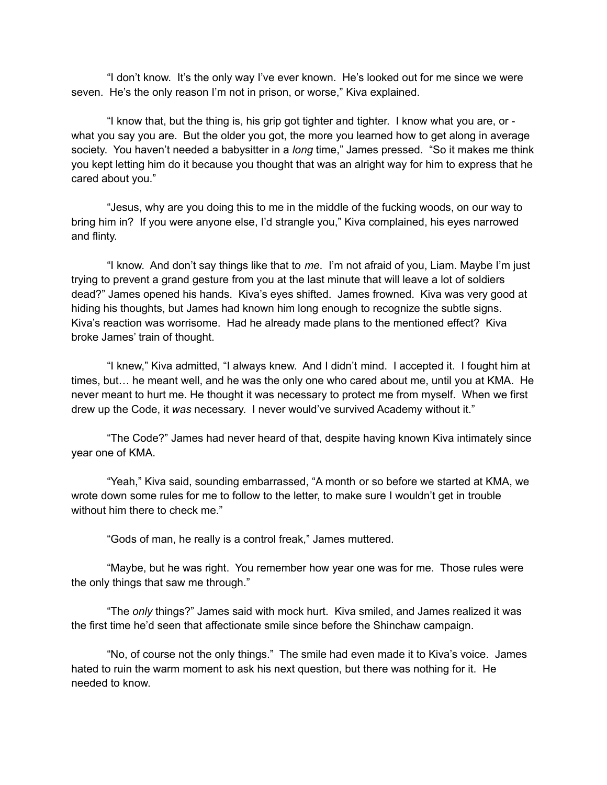"I don't know. It's the only way I've ever known. He's looked out for me since we were seven. He's the only reason I'm not in prison, or worse," Kiva explained.

"I know that, but the thing is, his grip got tighter and tighter. I know what you are, or what you say you are. But the older you got, the more you learned how to get along in average society. You haven't needed a babysitter in a *long* time," James pressed. "So it makes me think you kept letting him do it because you thought that was an alright way for him to express that he cared about you."

"Jesus, why are you doing this to me in the middle of the fucking woods, on our way to bring him in? If you were anyone else, I'd strangle you," Kiva complained, his eyes narrowed and flinty.

"I know. And don't say things like that to *me*. I'm not afraid of you, Liam. Maybe I'm just trying to prevent a grand gesture from you at the last minute that will leave a lot of soldiers dead?" James opened his hands. Kiva's eyes shifted. James frowned. Kiva was very good at hiding his thoughts, but James had known him long enough to recognize the subtle signs. Kiva's reaction was worrisome. Had he already made plans to the mentioned effect? Kiva broke James' train of thought.

"I knew," Kiva admitted, "I always knew. And I didn't mind. I accepted it. I fought him at times, but… he meant well, and he was the only one who cared about me, until you at KMA. He never meant to hurt me. He thought it was necessary to protect me from myself. When we first drew up the Code, it *was* necessary. I never would've survived Academy without it."

"The Code?" James had never heard of that, despite having known Kiva intimately since year one of KMA.

"Yeah," Kiva said, sounding embarrassed, "A month or so before we started at KMA, we wrote down some rules for me to follow to the letter, to make sure I wouldn't get in trouble without him there to check me."

"Gods of man, he really is a control freak," James muttered.

"Maybe, but he was right. You remember how year one was for me. Those rules were the only things that saw me through."

"The *only* things?" James said with mock hurt. Kiva smiled, and James realized it was the first time he'd seen that affectionate smile since before the Shinchaw campaign.

"No, of course not the only things." The smile had even made it to Kiva's voice. James hated to ruin the warm moment to ask his next question, but there was nothing for it. He needed to know.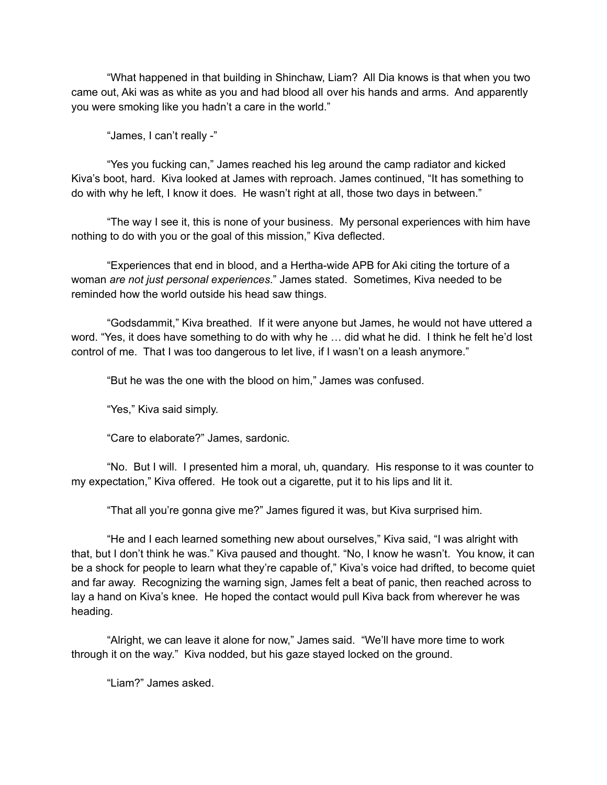"What happened in that building in Shinchaw, Liam? All Dia knows is that when you two came out, Aki was as white as you and had blood all over his hands and arms. And apparently you were smoking like you hadn't a care in the world."

"James, I can't really -"

"Yes you fucking can," James reached his leg around the camp radiator and kicked Kiva's boot, hard. Kiva looked at James with reproach. James continued, "It has something to do with why he left, I know it does. He wasn't right at all, those two days in between."

"The way I see it, this is none of your business. My personal experiences with him have nothing to do with you or the goal of this mission," Kiva deflected.

"Experiences that end in blood, and a Hertha-wide APB for Aki citing the torture of a woman *are not just personal experiences*." James stated. Sometimes, Kiva needed to be reminded how the world outside his head saw things.

"Godsdammit," Kiva breathed. If it were anyone but James, he would not have uttered a word. "Yes, it does have something to do with why he … did what he did. I think he felt he'd lost control of me. That I was too dangerous to let live, if I wasn't on a leash anymore."

"But he was the one with the blood on him," James was confused.

"Yes," Kiva said simply.

"Care to elaborate?" James, sardonic.

"No. But I will. I presented him a moral, uh, quandary. His response to it was counter to my expectation," Kiva offered. He took out a cigarette, put it to his lips and lit it.

"That all you're gonna give me?" James figured it was, but Kiva surprised him.

"He and I each learned something new about ourselves," Kiva said, "I was alright with that, but I don't think he was." Kiva paused and thought. "No, I know he wasn't. You know, it can be a shock for people to learn what they're capable of," Kiva's voice had drifted, to become quiet and far away. Recognizing the warning sign, James felt a beat of panic, then reached across to lay a hand on Kiva's knee. He hoped the contact would pull Kiva back from wherever he was heading.

"Alright, we can leave it alone for now," James said. "We'll have more time to work through it on the way." Kiva nodded, but his gaze stayed locked on the ground.

"Liam?" James asked.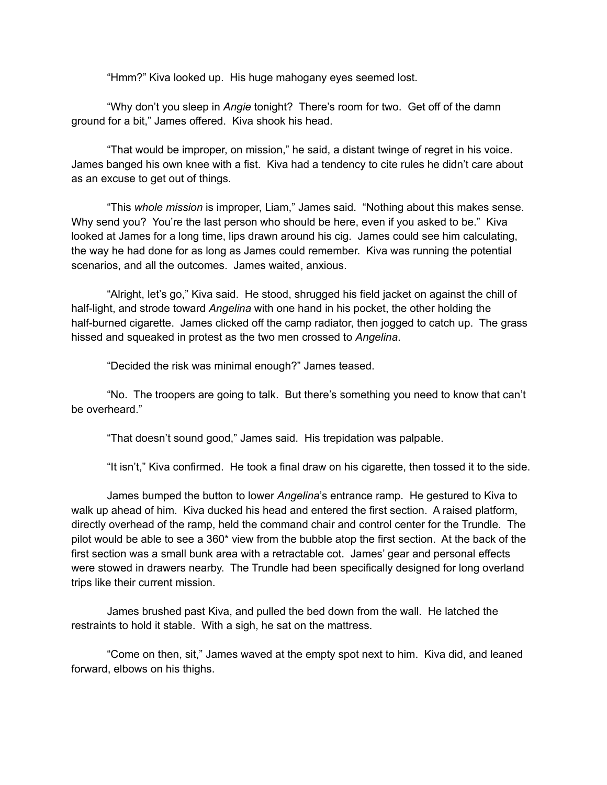"Hmm?" Kiva looked up. His huge mahogany eyes seemed lost.

"Why don't you sleep in *Angie* tonight? There's room for two. Get off of the damn ground for a bit," James offered. Kiva shook his head.

"That would be improper, on mission," he said, a distant twinge of regret in his voice. James banged his own knee with a fist. Kiva had a tendency to cite rules he didn't care about as an excuse to get out of things.

"This *whole mission* is improper, Liam," James said. "Nothing about this makes sense. Why send you? You're the last person who should be here, even if you asked to be." Kiva looked at James for a long time, lips drawn around his cig. James could see him calculating, the way he had done for as long as James could remember. Kiva was running the potential scenarios, and all the outcomes. James waited, anxious.

"Alright, let's go," Kiva said. He stood, shrugged his field jacket on against the chill of half-light, and strode toward *Angelina* with one hand in his pocket, the other holding the half-burned cigarette. James clicked off the camp radiator, then jogged to catch up. The grass hissed and squeaked in protest as the two men crossed to *Angelina*.

"Decided the risk was minimal enough?" James teased.

"No. The troopers are going to talk. But there's something you need to know that can't be overheard."

"That doesn't sound good," James said. His trepidation was palpable.

"It isn't," Kiva confirmed. He took a final draw on his cigarette, then tossed it to the side.

James bumped the button to lower *Angelina*'s entrance ramp. He gestured to Kiva to walk up ahead of him. Kiva ducked his head and entered the first section. A raised platform, directly overhead of the ramp, held the command chair and control center for the Trundle. The pilot would be able to see a 360\* view from the bubble atop the first section. At the back of the first section was a small bunk area with a retractable cot. James' gear and personal effects were stowed in drawers nearby. The Trundle had been specifically designed for long overland trips like their current mission.

James brushed past Kiva, and pulled the bed down from the wall. He latched the restraints to hold it stable. With a sigh, he sat on the mattress.

"Come on then, sit," James waved at the empty spot next to him. Kiva did, and leaned forward, elbows on his thighs.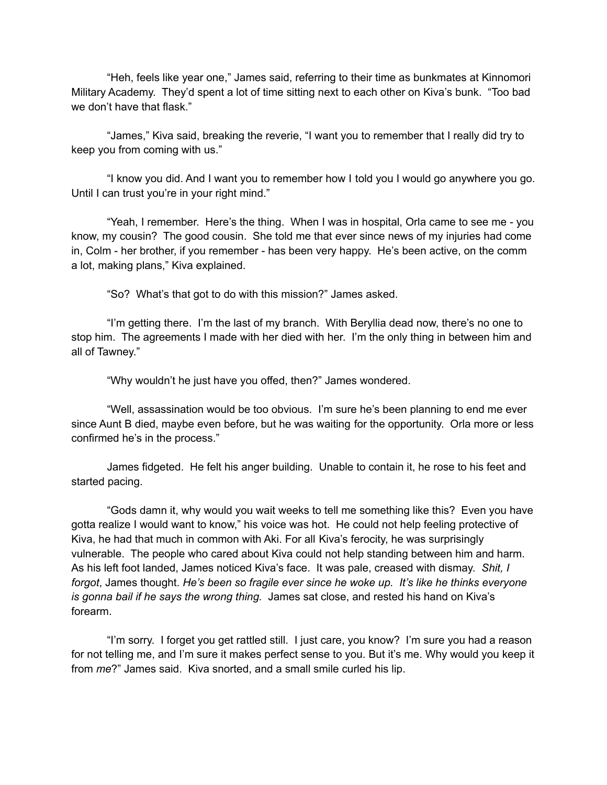"Heh, feels like year one," James said, referring to their time as bunkmates at Kinnomori Military Academy. They'd spent a lot of time sitting next to each other on Kiva's bunk. "Too bad we don't have that flask."

"James," Kiva said, breaking the reverie, "I want you to remember that I really did try to keep you from coming with us."

"I know you did. And I want you to remember how I told you I would go anywhere you go. Until I can trust you're in your right mind."

"Yeah, I remember. Here's the thing. When I was in hospital, Orla came to see me - you know, my cousin? The good cousin. She told me that ever since news of my injuries had come in, Colm - her brother, if you remember - has been very happy. He's been active, on the comm a lot, making plans," Kiva explained.

"So? What's that got to do with this mission?" James asked.

"I'm getting there. I'm the last of my branch. With Beryllia dead now, there's no one to stop him. The agreements I made with her died with her. I'm the only thing in between him and all of Tawney."

"Why wouldn't he just have you offed, then?" James wondered.

"Well, assassination would be too obvious. I'm sure he's been planning to end me ever since Aunt B died, maybe even before, but he was waiting for the opportunity. Orla more or less confirmed he's in the process."

James fidgeted. He felt his anger building. Unable to contain it, he rose to his feet and started pacing.

"Gods damn it, why would you wait weeks to tell me something like this? Even you have gotta realize I would want to know," his voice was hot. He could not help feeling protective of Kiva, he had that much in common with Aki. For all Kiva's ferocity, he was surprisingly vulnerable. The people who cared about Kiva could not help standing between him and harm. As his left foot landed, James noticed Kiva's face. It was pale, creased with dismay. *Shit, I forgot*, James thought. *He's been so fragile ever since he woke up. It's like he thinks everyone is gonna bail if he says the wrong thing.* James sat close, and rested his hand on Kiva's forearm.

"I'm sorry. I forget you get rattled still. I just care, you know? I'm sure you had a reason for not telling me, and I'm sure it makes perfect sense to you. But it's me. Why would you keep it from *me*?" James said. Kiva snorted, and a small smile curled his lip.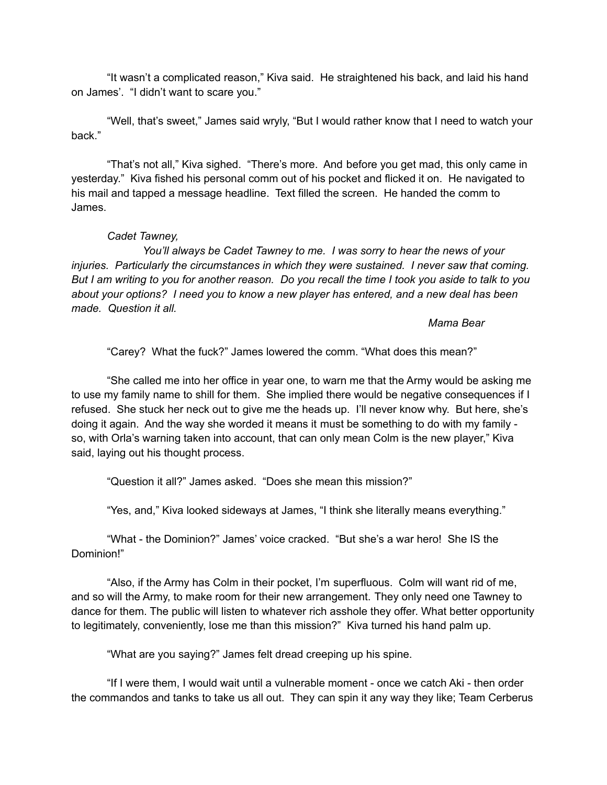"It wasn't a complicated reason," Kiva said. He straightened his back, and laid his hand on James'. "I didn't want to scare you."

"Well, that's sweet," James said wryly, "But I would rather know that I need to watch your back."

"That's not all," Kiva sighed. "There's more. And before you get mad, this only came in yesterday." Kiva fished his personal comm out of his pocket and flicked it on. He navigated to his mail and tapped a message headline. Text filled the screen. He handed the comm to James.

## *Cadet Tawney,*

*You'll always be Cadet Tawney to me. I was sorry to hear the news of your injuries. Particularly the circumstances in which they were sustained. I never saw that coming.* But I am writing to you for another reason. Do you recall the time I took you aside to talk to you *about your options? I need you to know a new player has entered, and a new deal has been made. Question it all.*

## *Mama Bear*

"Carey? What the fuck?" James lowered the comm. "What does this mean?"

"She called me into her office in year one, to warn me that the Army would be asking me to use my family name to shill for them. She implied there would be negative consequences if I refused. She stuck her neck out to give me the heads up. I'll never know why. But here, she's doing it again. And the way she worded it means it must be something to do with my family so, with Orla's warning taken into account, that can only mean Colm is the new player," Kiva said, laying out his thought process.

"Question it all?" James asked. "Does she mean this mission?"

"Yes, and," Kiva looked sideways at James, "I think she literally means everything."

"What - the Dominion?" James' voice cracked. "But she's a war hero! She IS the Dominion!"

"Also, if the Army has Colm in their pocket, I'm superfluous. Colm will want rid of me, and so will the Army, to make room for their new arrangement. They only need one Tawney to dance for them. The public will listen to whatever rich asshole they offer. What better opportunity to legitimately, conveniently, lose me than this mission?" Kiva turned his hand palm up.

"What are you saying?" James felt dread creeping up his spine.

"If I were them, I would wait until a vulnerable moment - once we catch Aki - then order the commandos and tanks to take us all out. They can spin it any way they like; Team Cerberus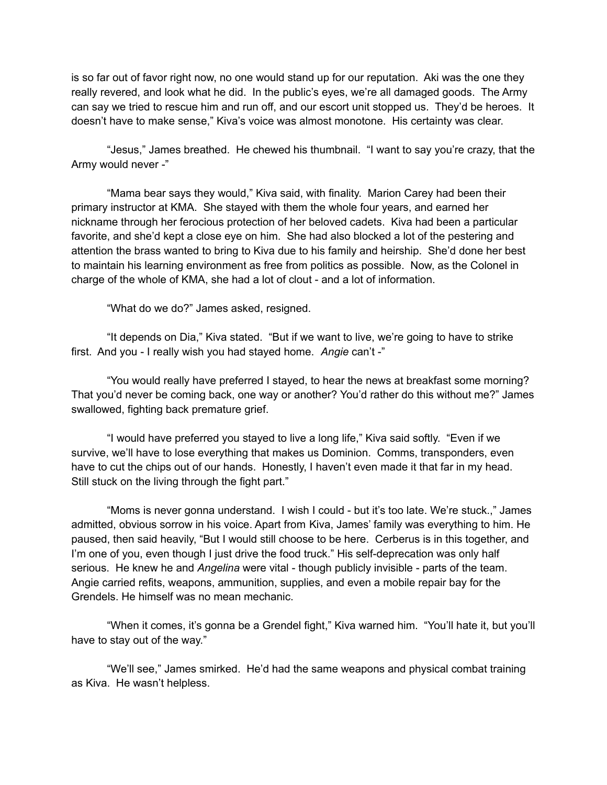is so far out of favor right now, no one would stand up for our reputation. Aki was the one they really revered, and look what he did. In the public's eyes, we're all damaged goods. The Army can say we tried to rescue him and run off, and our escort unit stopped us. They'd be heroes. It doesn't have to make sense," Kiva's voice was almost monotone. His certainty was clear.

"Jesus," James breathed. He chewed his thumbnail. "I want to say you're crazy, that the Army would never -"

"Mama bear says they would," Kiva said, with finality. Marion Carey had been their primary instructor at KMA. She stayed with them the whole four years, and earned her nickname through her ferocious protection of her beloved cadets. Kiva had been a particular favorite, and she'd kept a close eye on him. She had also blocked a lot of the pestering and attention the brass wanted to bring to Kiva due to his family and heirship. She'd done her best to maintain his learning environment as free from politics as possible. Now, as the Colonel in charge of the whole of KMA, she had a lot of clout - and a lot of information.

"What do we do?" James asked, resigned.

"It depends on Dia," Kiva stated. "But if we want to live, we're going to have to strike first. And you - I really wish you had stayed home. *Angie* can't -"

"You would really have preferred I stayed, to hear the news at breakfast some morning? That you'd never be coming back, one way or another? You'd rather do this without me?" James swallowed, fighting back premature grief.

"I would have preferred you stayed to live a long life," Kiva said softly. "Even if we survive, we'll have to lose everything that makes us Dominion. Comms, transponders, even have to cut the chips out of our hands. Honestly, I haven't even made it that far in my head. Still stuck on the living through the fight part."

"Moms is never gonna understand. I wish I could - but it's too late. We're stuck.," James admitted, obvious sorrow in his voice. Apart from Kiva, James' family was everything to him. He paused, then said heavily, "But I would still choose to be here. Cerberus is in this together, and I'm one of you, even though I just drive the food truck." His self-deprecation was only half serious. He knew he and *Angelina* were vital - though publicly invisible - parts of the team. Angie carried refits, weapons, ammunition, supplies, and even a mobile repair bay for the Grendels. He himself was no mean mechanic.

"When it comes, it's gonna be a Grendel fight," Kiva warned him. "You'll hate it, but you'll have to stay out of the way."

"We'll see," James smirked. He'd had the same weapons and physical combat training as Kiva. He wasn't helpless.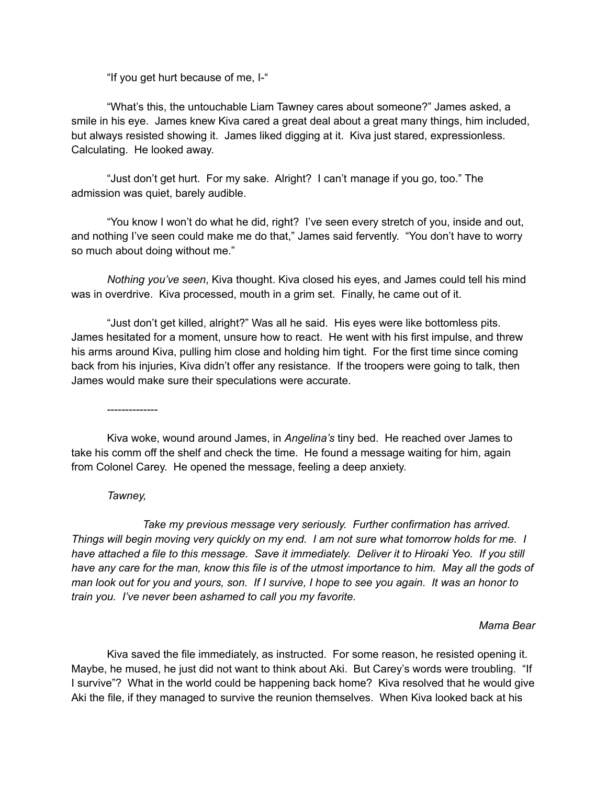"If you get hurt because of me, I-"

"What's this, the untouchable Liam Tawney cares about someone?" James asked, a smile in his eye. James knew Kiva cared a great deal about a great many things, him included, but always resisted showing it. James liked digging at it. Kiva just stared, expressionless. Calculating. He looked away.

"Just don't get hurt. For my sake. Alright? I can't manage if you go, too." The admission was quiet, barely audible.

"You know I won't do what he did, right? I've seen every stretch of you, inside and out, and nothing I've seen could make me do that," James said fervently. "You don't have to worry so much about doing without me."

*Nothing you've seen*, Kiva thought. Kiva closed his eyes, and James could tell his mind was in overdrive. Kiva processed, mouth in a grim set. Finally, he came out of it.

"Just don't get killed, alright?" Was all he said. His eyes were like bottomless pits. James hesitated for a moment, unsure how to react. He went with his first impulse, and threw his arms around Kiva, pulling him close and holding him tight. For the first time since coming back from his injuries, Kiva didn't offer any resistance. If the troopers were going to talk, then James would make sure their speculations were accurate.

--------------

Kiva woke, wound around James, in *Angelina's* tiny bed. He reached over James to take his comm off the shelf and check the time. He found a message waiting for him, again from Colonel Carey. He opened the message, feeling a deep anxiety.

## *Tawney,*

*Take my previous message very seriously. Further confirmation has arrived.* Things will begin moving very quickly on my end. I am not sure what tomorrow holds for me. I *have attached a file to this message. Save it immediately. Deliver it to Hiroaki Yeo. If you still* have any care for the man, know this file is of the utmost importance to him. May all the gods of man look out for you and yours, son. If I survive, I hope to see you again. It was an honor to *train you. I've never been ashamed to call you my favorite.*

## *Mama Bear*

Kiva saved the file immediately, as instructed. For some reason, he resisted opening it. Maybe, he mused, he just did not want to think about Aki. But Carey's words were troubling. "If I survive"? What in the world could be happening back home? Kiva resolved that he would give Aki the file, if they managed to survive the reunion themselves. When Kiva looked back at his